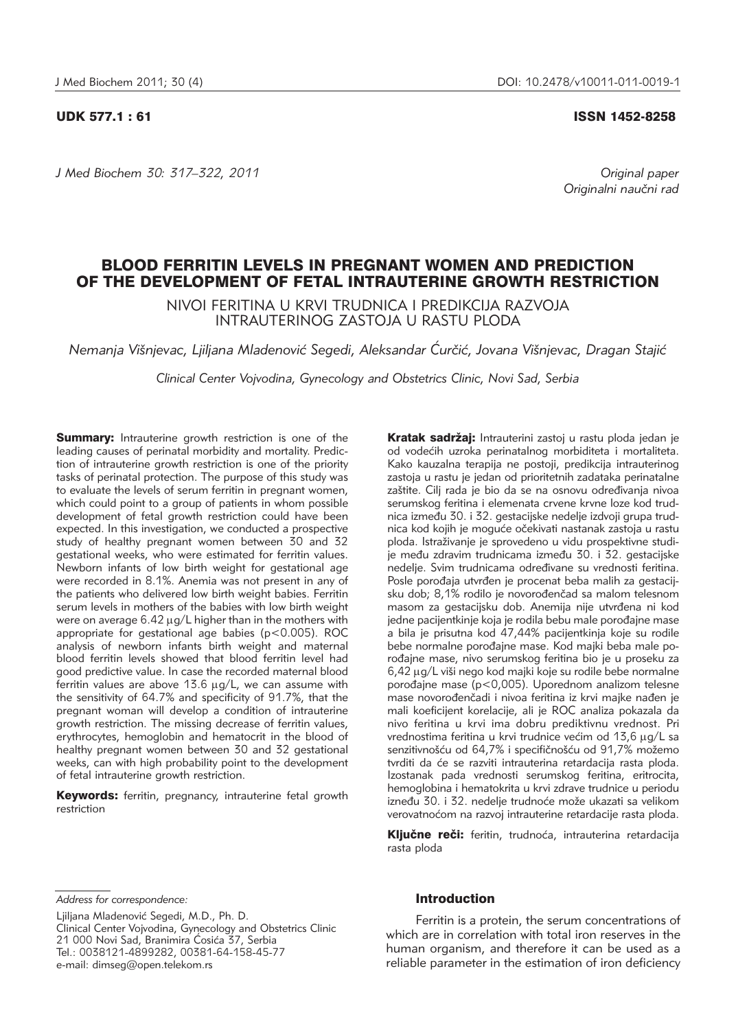*J Med Biochem 30: 317–322, 2011 Original paper*

UDK 577.1 : 61 ISSN 1452-8258

Originalni naučni rad

# BLOOD FERRITIN LEVELS IN PREGNANT WOMEN AND PREDICTION OF THE DEVELOPMENT OF FETAL INTRAUTERINE GROWTH RESTRICTION

NIVOI FERITINA U KRVI TRUDNICA I PREDIKCIJA RAZVOJA INTRAUTERINOG ZASTOJA U RASTU PLODA

Nemanja Višnjevac, Ljiljana Mladenović Segedi, Aleksandar Ćurčić, Jovana Višnjevac, Dragan Staiić

*Clinical Center Vojvodina, Gynecology and Obstetrics Clinic, Novi Sad, Serbia*

**Summary:** Intrauterine growth restriction is one of the leading causes of perinatal morbidity and mortality. Prediction of intrauterine growth restriction is one of the priority tasks of perinatal protection. The purpose of this study was to evaluate the levels of serum ferritin in pregnant women, which could point to a group of patients in whom possible development of fetal growth restriction could have been expected. In this investigation, we conducted a prospective study of healthy pregnant women between 30 and 32 gestational weeks, who were estimated for ferritin values. Newborn infants of low birth weight for gestational age were recorded in 8.1%. Anemia was not present in any of the patients who delivered low birth weight babies. Ferritin serum levels in mothers of the babies with low birth weight were on average  $6.42 \mu g/L$  higher than in the mothers with appropriate for gestational age babies (p<0.005). ROC analysis of newborn infants birth weight and maternal blood ferritin levels showed that blood ferritin level had good predictive value. In case the recorded maternal blood ferritin values are above  $13.6 \mu g/L$ , we can assume with the sensitivity of 64.7% and specificity of 91.7%, that the pregnant woman will develop a condition of intrauterine growth restriction. The missing decrease of ferritin values, erythrocytes, hemoglobin and hematocrit in the blood of healthy pregnant women between 30 and 32 gestational weeks, can with high probability point to the development of fetal intrauterine growth restriction.

Keywords: ferritin, pregnancy, intrauterine fetal growth restriction

Kratak sadržaj: Intrauterini zastoj u rastu ploda jedan je od vodećih uzroka perinatalnog morbiditeta i mortaliteta. Kako kauzalna terapija ne postoji, predikcija intrauterinog zastoja u rastu je jedan od prioritetnih zadataka perinatalne zaštite. Cilj rada je bio da se na osnovu određivanja nivoa serumskog feritina i elemenata crvene krvne loze kod trudnica između 30. i 32. gestacijske nedelje izdvoji grupa trudnica kod kojih je moguće očekivati nastanak zastoja u rastu ploda. Istraživanje je sprovedeno u vidu prospektivne studije među zdravim trudnicama između 30. i 32. gestacijske nedelje. Svim trudnicama određivane su vrednosti feritina. Posle porođaja utvrđen je procenat beba malih za gestacijsku dob; 8,1% rodilo je novorođenčad sa malom telesnom masom za gestacijsku dob. Anemija nije utvrđena ni kod jedne pacijentkinje koja je rodila bebu male porođajne mase a bila je prisutna kod 47,44% pacijentkinja koje su rodile bebe normalne porođajne mase. Kod majki beba male porođajne mase, nivo serumskog feritina bio je u proseku za 6,42 µg/L viši nego kod majki koje su rodile bebe normalne porođajne mase ( $p$ <0,005). Uporednom analizom telesne mase novorođenčadi i nivoa feritina iz krvi majke nađen je mali koeficijent korelacije, ali je ROC analiza pokazala da nivo feritina u krvi ima dobru prediktivnu vrednost. Pri vrednostima feritina u krvi trudnice većim od 13,6 µg/L sa senzitivnošću od 64,7% i specifičnošću od 91,7% možemo tvrditi da će se razviti intrauterina retardacija rasta ploda. Izostanak pada vrednosti serumskog feritina, eritrocita, hemoglobina i hematokrita u krvi zdrave trudnice u periodu izneđu 30. i 32. nedelje trudnoće može ukazati sa velikom verovatnoćom na razvoj intrauterine retardacije rasta ploda.

Ključne reči: feritin, trudnoća, intrauterina retardacija rasta ploda

*Address for correspondence:*

Ljiljana Mladenović Segedi, M.D., Ph. D. Clinical Center Vojvodina, Gynecology and Obstetrics Clinic 21 000 Novi Sad, Branimira Ćosića 37, Serbia Tel.: 0038121-4899282, 00381-64-158-45-77 e-mail: dimseg@open.telekom.rs

## Introduction

Ferritin is a protein, the serum concentrations of which are in correlation with total iron reserves in the human organism, and therefore it can be used as a reliable parameter in the estimation of iron deficiency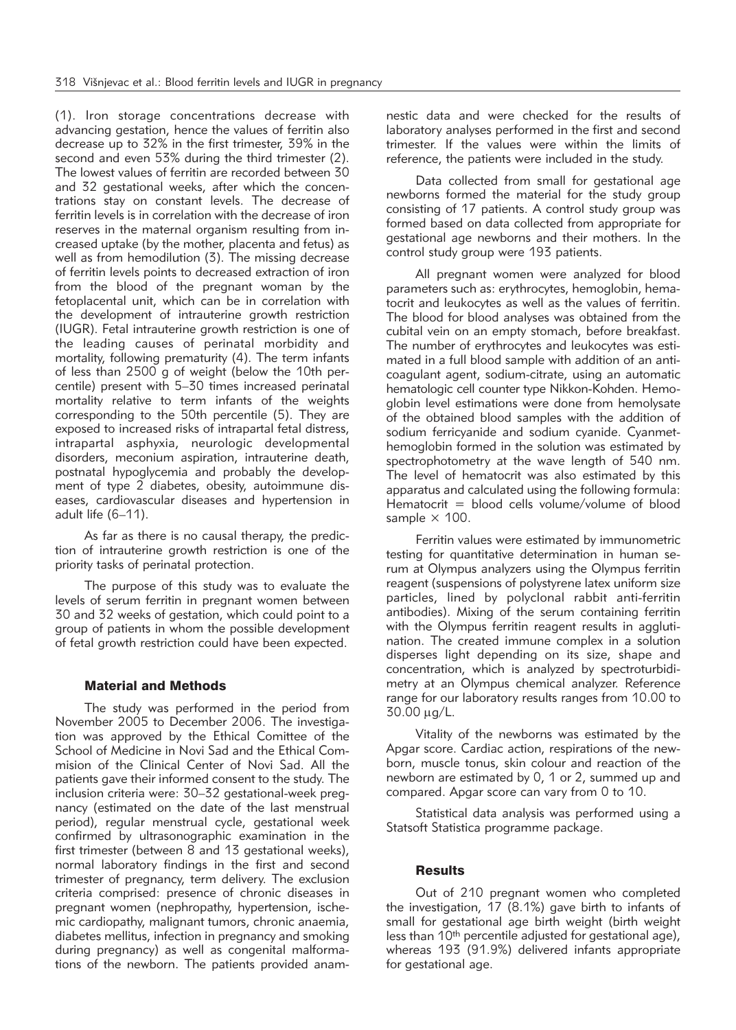(1). Iron storage concentrations decrease with advancing gestation, hence the values of ferritin also decrease up to 32% in the first trimester, 39% in the second and even 53% during the third trimester (2). The lowest values of ferritin are recorded between 30 and 32 gestational weeks, after which the concentrations stay on constant levels. The decrease of ferritin levels is in correlation with the decrease of iron reserves in the maternal organism resulting from increased uptake (by the mother, placenta and fetus) as well as from hemodilution (3). The missing decrease of ferritin levels points to decreased extraction of iron from the blood of the pregnant woman by the fetoplacental unit, which can be in correlation with the development of intrauterine growth restriction (IUGR). Fetal intrauterine growth restriction is one of the leading causes of perinatal morbidity and mortality, following prematurity (4). The term infants of less than 2500 g of weight (below the 10th per centile) present with 5–30 times increased perinatal mortality relative to term infants of the weights corresponding to the 50th percentile (5). They are exposed to increased risks of intrapartal fetal distress, intrapartal asphyxia, neurologic developmental disorders, meconium aspiration, intrauterine death, postnatal hypoglycemia and probably the development of type 2 diabetes, obesity, autoimmune diseases, cardiovascular diseases and hypertension in adult life (6–11).

As far as there is no causal therapy, the prediction of intrauterine growth restriction is one of the priority tasks of perinatal protection.

The purpose of this study was to evaluate the levels of serum ferritin in pregnant women between 30 and 32 weeks of gestation, which could point to a group of patients in whom the possible development of fetal growth restriction could have been expected.

### Material and Methods

The study was performed in the period from November 2005 to December 2006. The investigation was approved by the Ethical Comittee of the School of Medicine in Novi Sad and the Ethical Commision of the Clinical Center of Novi Sad. All the patients gave their informed consent to the study. The inclusion criteria were: 30–32 gestational-week pregnancy (estimated on the date of the last menstrual period), regular menstrual cycle, gestational week confirmed by ultrasonographic examination in the first trimester (between 8 and 13 gestational weeks), normal laboratory findings in the first and second trimester of pregnancy, term delivery. The exclusion criteria comprised: presence of chronic diseases in pregnant women (nephropathy, hypertension, ischemic cardiopathy, malignant tumors, chronic anaemia, diabetes mellitus, infection in pregnancy and smoking during pregnancy) as well as congenital malformations of the newborn. The patients provided anamnestic data and were checked for the results of laboratory analyses performed in the first and second trimester. If the values were within the limits of reference, the patients were included in the study.

Data collected from small for gestational age newborns formed the material for the study group consisting of 17 patients. A control study group was formed based on data collected from appropriate for gestational age newborns and their mothers. In the control study group were 193 patients.

All pregnant women were analyzed for blood parameters such as: erythrocytes, hemoglobin, hematocrit and leukocytes as well as the values of ferritin. The blood for blood analyses was obtained from the cubital vein on an empty stomach, before breakfast. The number of erythrocytes and leukocytes was estimated in a full blood sample with addition of an anticoa quant agent, sodium-citrate, using an automatic hematologic cell counter type Nikkon-Kohden. Hemoglobin level estimations were done from hemolysate of the obtained blood samples with the addition of sodium ferricyanide and sodium cyanide. Cyanmethemoglobin formed in the solution was estimated by spectrophotometry at the wave length of 540 nm. The level of hematocrit was also estimated by this apparatus and calculated using the following formula: Hematocrit = blood cells volume/volume of blood sample  $\times$  100.

Ferritin values were estimated by immunometric testing for quantitative determination in human serum at Olympus analyzers using the Olympus ferritin reagent (suspensions of polystyrene latex uniform size particles, lined by polyclonal rabbit anti-ferritin antibodies). Mixing of the serum containing ferritin with the Olympus ferritin reagent results in agglutination. The created immune complex in a solution disperses light depending on its size, shape and concentration, which is analyzed by spectroturbidimetry at an Olympus chemical analyzer. Reference range for our laboratory results ranges from 10.00 to  $30.00 \,\mu g/L$ .

Vitality of the newborns was estimated by the Apgar score. Cardiac action, respirations of the newborn, muscle tonus, skin colour and reaction of the newborn are estimated by 0, 1 or 2, summed up and compared. Apgar score can vary from 0 to 10.

Statistical data analysis was performed using a Statsoft Statistica programme package.

# **Results**

Out of 210 pregnant women who completed the investigation, 17 (8.1%) gave birth to infants of small for gestational age birth weight (birth weight less than 10th percentile adjusted for gestational age), whereas 193 (91.9%) delivered infants appropriate for gestational age.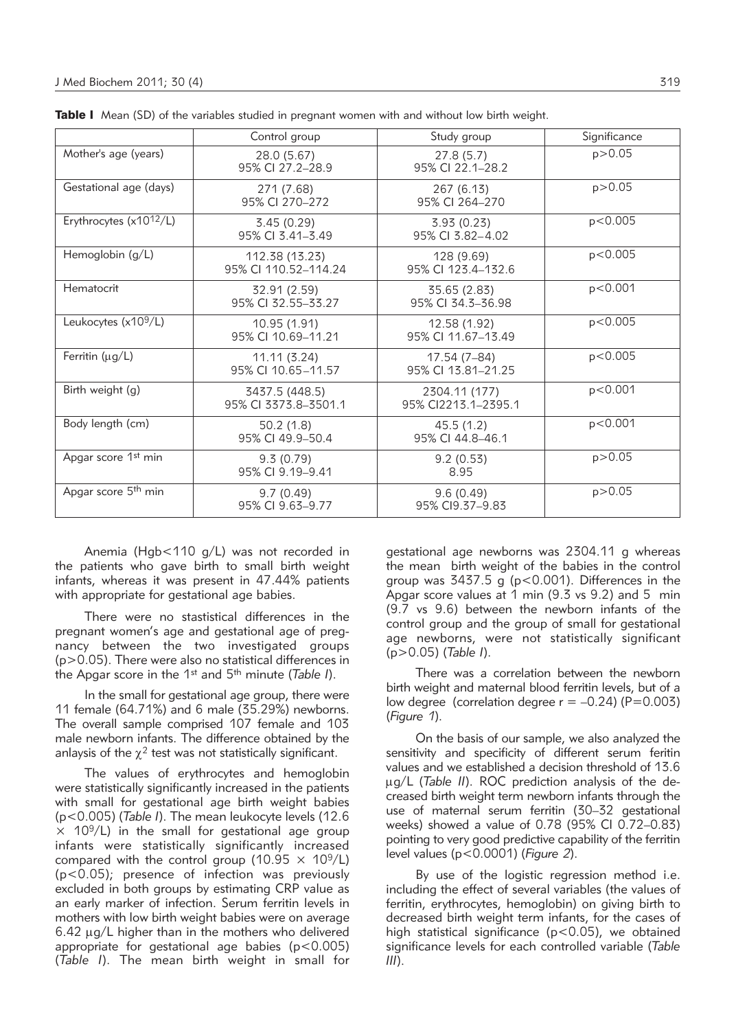|                                     | Control group                          | Study group                          | Significance |
|-------------------------------------|----------------------------------------|--------------------------------------|--------------|
| Mother's age (years)                | 28.0 (5.67)<br>95% CI 27.2-28.9        | 27.8(5.7)<br>95% CI 22.1-28.2        | p > 0.05     |
| Gestational age (days)              | 271 (7.68)<br>95% CI 270-272           | 267 (6.13)<br>95% CI 264-270         | p > 0.05     |
| Erythrocytes (x10 <sup>12</sup> /L) | 3.45(0.29)<br>95% CI 3.41-3.49         | 3.93(0.23)<br>95% CI 3.82-4.02       | p < 0.005    |
| Hemoglobin (g/L)                    | 112.38 (13.23)<br>95% CI 110.52-114.24 | 128 (9.69)<br>95% CI 123.4-132.6     | p < 0.005    |
| Hematocrit                          | 32.91 (2.59)<br>95% CI 32.55-33.27     | 35.65 (2.83)<br>95% CI 34.3-36.98    | p < 0.001    |
| Leukocytes (x10 <sup>9</sup> /L)    | 10.95 (1.91)<br>95% CI 10.69-11.21     | 12.58 (1.92)<br>95% CI 11.67-13.49   | p < 0.005    |
| Ferritin ( $\mu$ g/L)               | 11.11(3.24)<br>95% CI 10.65-11.57      | 17.54 (7–84)<br>95% CI 13.81-21.25   | p < 0.005    |
| Birth weight (g)                    | 3437.5 (448.5)<br>95% CI 3373.8-3501.1 | 2304.11 (177)<br>95% CI2213.1-2395.1 | p<0.001      |
| Body length (cm)                    | 50.2(1.8)<br>95% CI 49.9-50.4          | 45.5(1.2)<br>95% CI 44.8-46.1        | p < 0.001    |
| Apgar score 1 <sup>st</sup> min     | 9.3(0.79)<br>95% CI 9.19-9.41          | 9.2(0.53)<br>8.95                    | p > 0.05     |
| Apgar score 5 <sup>th</sup> min     | 9.7(0.49)<br>95% CI 9.63-9.77          | 9.6(0.49)<br>95% CI9.37-9.83         | p > 0.05     |

Table I Mean (SD) of the variables studied in pregnant women with and without low birth weight.

Anemia (Hgb<110 g/L) was not recorded in the patients who gave birth to small birth weight infants, whereas it was present in 47.44% patients with appropriate for gestational age babies.

There were no stastistical differences in the pregnant women's age and gestational age of pregnancy between the two investigated groups (p>0.05). There were also no statistical differences in the Apgar score in the 1st and 5th minute (*Table I*).

In the small for gestational age group, there were 11 female (64.71%) and 6 male (35.29%) new borns. The overall sample comprised 107 female and 103 male newborn infants. The difference obtained by the anlaysis of the  $\chi^2$  test was not statistically significant.

The values of erythrocytes and hemoglobin were statistically significantly increased in the patients with small for gestational age birth weight babies (p<0.005) (*Table I*). The mean leukocyte levels (12.6  $\times$  10<sup>9</sup>/L) in the small for gestational age group infants were statistically significantly increased compared with the control group (10.95  $\times$  10<sup>9</sup>/L)  $(p<0.05)$ ; presence of infection was previously excluded in both groups by estimating CRP value as an early marker of infection. Serum ferritin levels in mothers with low birth weight babies were on average  $6.42 \mu g/L$  higher than in the mothers who delivered appropriate for gestational age babies ( $p < 0.005$ ) (*Table I*). The mean birth weight in small for

gestational age newborns was 2304.11 g whereas the mean birth weight of the babies in the control group was 3437.5 g (p<0.001). Differences in the Apgar score values at  $1$  min (9.3 vs 9.2) and  $5$  min (9.7 vs 9.6) between the newborn infants of the control group and the group of small for gestational age newborns, were not statistically significant (p>0.05) (*Table I*).

There was a correlation between the newborn birth weight and maternal blood ferritin levels, but of a low degree (correlation degree  $r = -0.24$ ) (P=0.003) (*Figure 1*).

On the basis of our sample, we also analyzed the sensitivity and specificity of different serum feritin values and we established a decision threshold of 13.6 µg/L (Table II). ROC prediction analysis of the decreased birth weight term newborn infants through the use of maternal serum ferritin (30-32 gestational weeks) showed a value of 0.78 (95% CI 0.72-0.83) pointing to very good predictive capability of the ferritin level values (p<0.0001) (*Figure 2*).

By use of the logistic regression method i.e. including the effect of several variables (the values of ferritin, erythrocytes, hemoglobin) on giving birth to decreased birth weight term infants, for the cases of high statistical significance ( $p < 0.05$ ), we obtained significance levels for each controlled variable (*Table III*).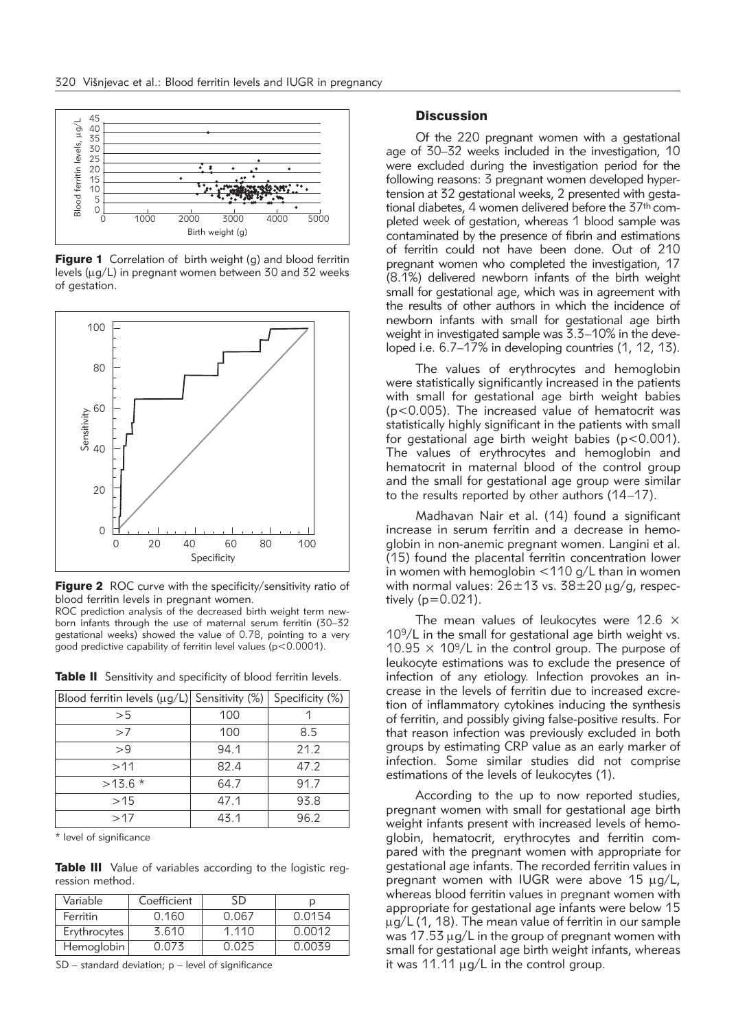

**Figure 1** Correlation of birth weight (g) and blood ferritin levels ( $\mu$ g/L) in pregnant women between 30 and 32 weeks of gestation.



**Figure 2** ROC curve with the specificity/sensitivity ratio of blood ferritin levels in pregnant women.

ROC prediction analysis of the decreased birth weight term newborn infants through the use of maternal serum ferritin (30–32 gestational weeks) showed the value of 0.78, pointing to a very good predictive capability of ferritin level values (p<0.0001).

| Blood ferritin levels ( $\mu$ g/L) Sensitivity (%) |      | Specificity (%) |
|----------------------------------------------------|------|-----------------|
| >5                                                 | 100  |                 |
| >7                                                 | 100  | 8.5             |
| >9                                                 | 94.1 | 21.2            |
| >11                                                | 82.4 | 47.2            |
| $>13.6*$                                           | 64.7 | 91.7            |
| >15                                                | 47.1 | 93.8            |
| >17                                                | 43.1 | 96.2            |

Table II Sensitivity and specificity of blood ferritin levels.

\* level of significance

Table III Value of variables according to the logistic regression method.

| Variable     | Coefficient | SD    |        |
|--------------|-------------|-------|--------|
| Ferritin     | 0.160       | 0.067 | 0.0154 |
| Erythrocytes | 3.610       | 1.110 | 0.0012 |
| Hemoglobin   | በ በ73       | 0.025 | 0.0039 |

SD – standard deviation; p – level of significance

# **Discussion**

Of the 220 pregnant women with a gestational age of 30–32 weeks included in the investigation, 10 were excluded during the investigation period for the following reasons: 3 pregnant women developed hypertension at 32 gestational weeks, 2 presented with gestational diabetes, 4 women delivered before the 37<sup>th</sup> completed week of gestation, whereas 1 blood sample was contaminated by the presence of fibrin and estimations of ferritin could not have been done. Out of 210 pregnant women who completed the investigation, 17 (8.1%) delivered new born infants of the birth weight small for gestational age, which was in agreement with the results of other authors in which the incidence of newborn infants with small for gestational age birth weight in investigated sample was 3.3-10% in the developed i.e. 6.7–17% in developing countries (1, 12, 13).

The values of erythrocytes and hemoglobin were statistically significantly increased in the patients with small for gestational age birth weight babies (p<0.005). The increased value of hematocrit was statistically highly significant in the patients with small for gestational age birth weight babies ( $p < 0.001$ ). The values of erythrocytes and hemoglobin and hematocrit in maternal blood of the control group and the small for gestational age group were similar to the results reported by other authors (14–17).

Madhavan Nair et al. (14) found a significant increase in serum ferritin and a decrease in hemoglobin in non-anemic pregnant women. Langini et al. (15) found the placental ferritin concentration lower in women with hemoglobin  $\langle 110 \text{ g/L}$  than in women with normal values:  $26\pm13$  vs.  $38\pm20 \,\mu q/q$ , respectively  $(p=0.021)$ .

The mean values of leukocytes were 12.6  $\times$ 109/L in the small for gestational age birth weight vs. 10.95  $\times$  10<sup>9</sup>/L in the control group. The purpose of leukocyte estimations was to exclude the presence of infection of any etiology. Infection provokes an increase in the levels of ferritin due to increased excretion of inflammatory cytokines inducing the synthesis of ferritin, and possibly giving false-positive results. For that reason infection was previously excluded in both groups by estimating CRP value as an early marker of infection. Some similar studies did not comprise estimations of the levels of leukocytes (1).

According to the up to now reported studies, pregnant women with small for gestational age birth weight infants present with increased levels of hemoglobin, hematocrit, erythrocytes and ferritin compared with the pregnant women with appropriate for gestational age infants. The recorded ferritin values in pregnant women with IUGR were above 15  $\mu$ g/L, whereas blood ferritin values in pregnant women with appropriate for gestational age infants were below 15  $\mu$ g/L (1, 18). The mean value of ferritin in our sample was 17.53  $\mu$ g/L in the group of pregnant women with small for gestational age birth weight infants, whereas it was 11.11  $\mu$ g/L in the control group.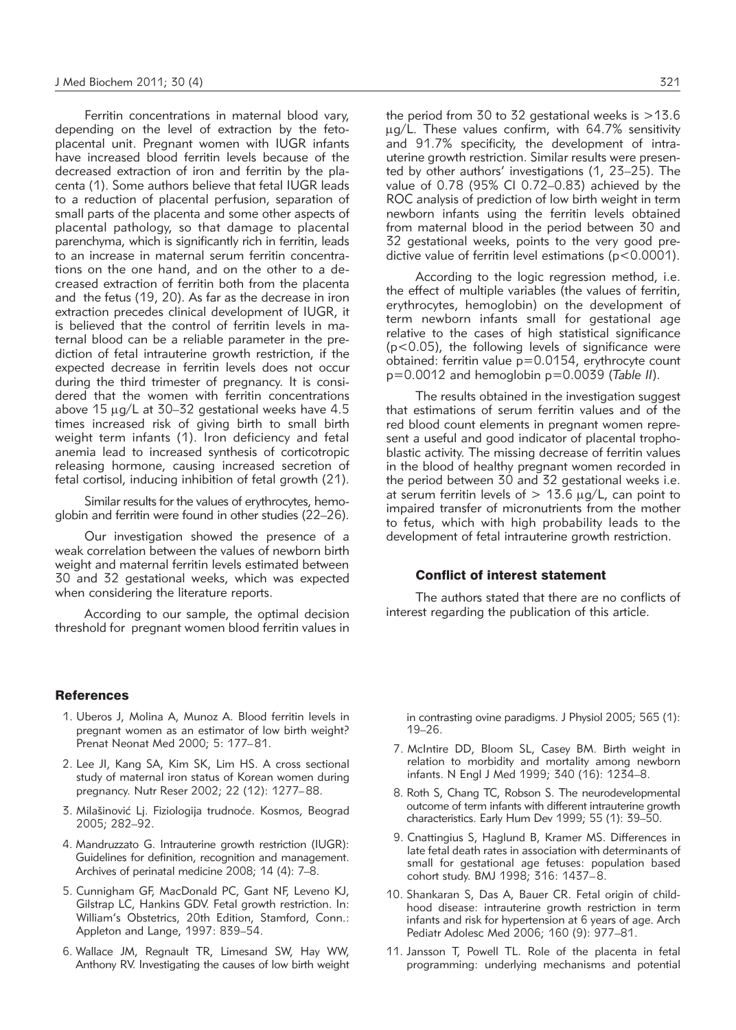Ferritin concentrations in maternal blood vary, depending on the level of extraction by the fetoplacental unit. Pregnant women with IUGR infants have increased blood ferritin levels because of the decreased extraction of iron and ferritin by the placenta (1). Some authors believe that fetal IUGR leads to a reduction of placental perfusion, separation of small parts of the placenta and some other aspects of placental pathology, so that damage to placental parenchyma, which is significantly rich in ferritin, leads to an increase in maternal serum ferritin concentrations on the one hand, and on the other to a decreased extraction of ferritin both from the placenta and the fetus (19, 20). As far as the decrease in iron extraction precedes clinical development of IUGR, it is believed that the control of ferritin levels in maternal blood can be a reliable parameter in the prediction of fetal intrauterine growth restriction, if the expected decrease in ferritin levels does not occur during the third trimester of pregnancy. It is considered that the women with ferritin concentrations above 15  $\mu$ g/L at 30–32 gestational weeks have 4.5 times increased risk of giving birth to small birth weight term infants (1). Iron deficiency and fetal anemia lead to increased synthesis of corticotropic releasing hormone, causing increased secretion of fetal cortisol, inducing inhibition of fetal growth (21).

Similar results for the values of erythrocytes, hemoglobin and ferritin were found in other studies (22–26).

Our investigation showed the presence of a weak correlation between the values of newborn birth weight and maternal ferritin levels estimated between 30 and 32 gestational weeks, which was expected when considering the literature reports.

According to our sample, the optimal decision threshold for pregnant women blood ferritin values in

#### **References**

- 1. Uberos J, Molina A, Munoz A. Blood ferritin levels in pregnant women as an estimator of low birth weight? Prenat Neonat Med 2000; 5: 177–81.
- 2. Lee JI, Kang SA, Kim SK, Lim HS. A cross sectional study of maternal iron status of Korean women during pregnancy. Nutr Reser 2002; 22 (12): 1277–88.
- 3. Milašinović Lj. Fiziologija trudnoće. Kosmos, Beograd 2005; 282–92.
- 4. Mandruzzato G. Intrauterine growth restriction (IUGR): Guidelines for definition, recognition and management. Archives of perinatal medicine 2008; 14 (4): 7–8.
- 5. Cunnigham GF, MacDonald PC, Gant NF, Leveno KJ, Gilstrap LC, Hankins GDV. Fetal growth restriction. In: William's Obstetrics, 20th Edition, Stamford, Conn.: Appleton and Lange, 1997: 839–54.
- 6. Wallace JM, Regnault TR, Limesand SW, Hay WW, Anthony RV. Investigating the causes of low birth weight

the period from 30 to 32 gestational weeks is  $>13.6$  $\mu$ g/L. These values confirm, with 64.7% sensitivity and 91.7% specificity, the development of intrauterine growth restriction. Similar results were presented by other authors' investigations (1, 23–25). The value of 0.78 (95% CI 0.72–0.83) achieved by the ROC analysis of prediction of low birth weight in term new born infants using the ferritin levels obtained from maternal blood in the period between 30 and 32 gestational weeks, points to the very good predictive value of ferritin level estimations ( $p < 0.0001$ ).

According to the logic regression method, i.e. the effect of multiple variables (the values of ferritin, erythrocytes, hemoglobin) on the development of term newborn infants small for gestational age relative to the cases of high statistical significance (p<0.05), the following levels of significance were obtained: ferritin value p=0.0154, erythrocyte count p=0.0012 and hemoglobin p=0.0039 (*Table II*).

The results obtained in the investigation suggest that estimations of serum ferritin values and of the red blood count elements in pregnant women represent a useful and good indicator of placental trophoblastic activity. The missing decrease of ferritin values in the blood of healthy pregnant women recorded in the period between 30 and 32 gestational weeks i.e. at serum ferritin levels of  $> 13.6 \mu q/L$ , can point to impaired transfer of micronutrients from the mother to fetus, which with high probability leads to the development of fetal intrauterine growth restriction.

#### Conflict of interest statement

The authors stated that there are no conflicts of interest regarding the publication of this article.

in contrasting ovine paradigms. J Physiol 2005; 565 (1): 19–26.

- 7. McIntire DD, Bloom SL, Casey BM. Birth weight in relation to morbidity and mortality among newborn infants. N Engl J Med 1999; 340 (16): 1234–8.
- 8. Roth S, Chang TC, Robson S. The neurodevelopmental outcome of term infants with different intrauterine growth characteristics. Early Hum Dev 1999; 55 (1): 39–50.
- 9. Cnattingius S, Haglund B, Kramer MS. Differences in late fetal death rates in association with determinants of small for gestational age fetuses: population based cohort study. BMJ 1998; 316: 1437–8.
- 10. Shankaran S, Das A, Bauer CR. Fetal origin of childhood disease: intrauterine growth restriction in term infants and risk for hypertension at 6 years of age. Arch Pediatr Adolesc Med 2006; 160 (9): 977–81.
- 11. Jansson T, Powell TL. Role of the placenta in fetal programming: underlying mechanisms and potential